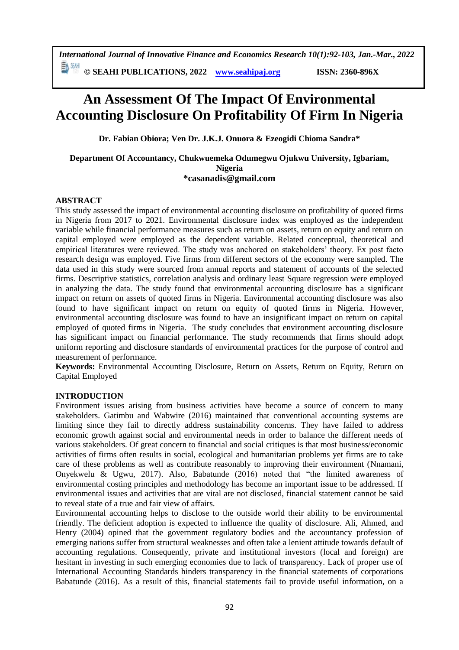**© SEAHI PUBLICATIONS, 2022 [www.seahipaj.org](http://www.seahipaj.org/) ISSN: 2360-896X**

# **An Assessment Of The Impact Of Environmental Accounting Disclosure On Profitability Of Firm In Nigeria**

**Dr. Fabian Obiora; Ven Dr. J.K.J. Onuora & Ezeogidi Chioma Sandra\***

#### **Department Of Accountancy, Chukwuemeka Odumegwu Ojukwu University, Igbariam, Nigeria \*casanadis@gmail.com**

# **ABSTRACT**

This study assessed the impact of environmental accounting disclosure on profitability of quoted firms in Nigeria from 2017 to 2021. Environmental disclosure index was employed as the independent variable while financial performance measures such as return on assets, return on equity and return on capital employed were employed as the dependent variable. Related conceptual, theoretical and empirical literatures were reviewed. The study was anchored on stakeholders' theory. Ex post facto research design was employed. Five firms from different sectors of the economy were sampled. The data used in this study were sourced from annual reports and statement of accounts of the selected firms. Descriptive statistics, correlation analysis and ordinary least Square regression were employed in analyzing the data. The study found that environmental accounting disclosure has a significant impact on return on assets of quoted firms in Nigeria. Environmental accounting disclosure was also found to have significant impact on return on equity of quoted firms in Nigeria. However, environmental accounting disclosure was found to have an insignificant impact on return on capital employed of quoted firms in Nigeria. The study concludes that environment accounting disclosure has significant impact on financial performance. The study recommends that firms should adopt uniform reporting and disclosure standards of environmental practices for the purpose of control and measurement of performance.

**Keywords:** Environmental Accounting Disclosure, Return on Assets, Return on Equity, Return on Capital Employed

# **INTRODUCTION**

Environment issues arising from business activities have become a source of concern to many stakeholders. Gatimbu and Wabwire (2016) maintained that conventional accounting systems are limiting since they fail to directly address sustainability concerns. They have failed to address economic growth against social and environmental needs in order to balance the different needs of various stakeholders. Of great concern to financial and social critiques is that most business/economic activities of firms often results in social, ecological and humanitarian problems yet firms are to take care of these problems as well as contribute reasonably to improving their environment (Nnamani, Onyekwelu & Ugwu, 2017). Also, Babatunde (2016) noted that "the limited awareness of environmental costing principles and methodology has become an important issue to be addressed. If environmental issues and activities that are vital are not disclosed, financial statement cannot be said to reveal state of a true and fair view of affairs.

Environmental accounting helps to disclose to the outside world their ability to be environmental friendly. The deficient adoption is expected to influence the quality of disclosure. Ali, Ahmed, and Henry (2004) opined that the government regulatory bodies and the accountancy profession of emerging nations suffer from structural weaknesses and often take a lenient attitude towards default of accounting regulations. Consequently, private and institutional investors (local and foreign) are hesitant in investing in such emerging economies due to lack of transparency. Lack of proper use of International Accounting Standards hinders transparency in the financial statements of corporations Babatunde (2016). As a result of this, financial statements fail to provide useful information, on a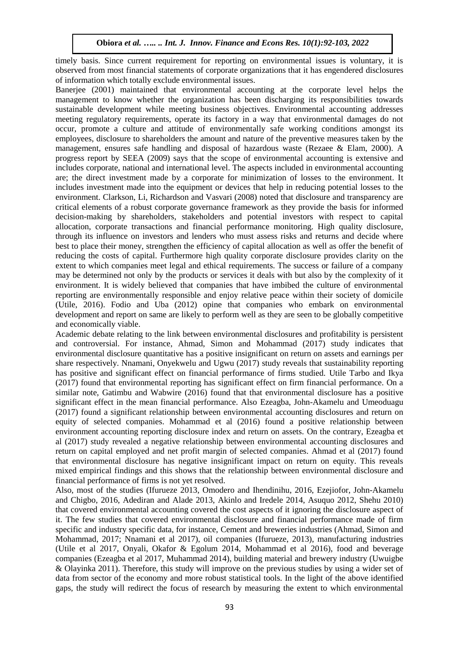timely basis. Since current requirement for reporting on environmental issues is voluntary, it is observed from most financial statements of corporate organizations that it has engendered disclosures of information which totally exclude environmental issues.

Banerjee (2001) maintained that environmental accounting at the corporate level helps the management to know whether the organization has been discharging its responsibilities towards sustainable development while meeting business objectives. Environmental accounting addresses meeting regulatory requirements, operate its factory in a way that environmental damages do not occur, promote a culture and attitude of environmentally safe working conditions amongst its employees, disclosure to shareholders the amount and nature of the preventive measures taken by the management, ensures safe handling and disposal of hazardous waste (Rezaee & Elam, 2000). A progress report by SEEA (2009) says that the scope of environmental accounting is extensive and includes corporate, national and international level. The aspects included in environmental accounting are; the direct investment made by a corporate for minimization of losses to the environment. It includes investment made into the equipment or devices that help in reducing potential losses to the environment. Clarkson, Li, Richardson and Vasvari (2008) noted that disclosure and transparency are critical elements of a robust corporate governance framework as they provide the basis for informed decision-making by shareholders, stakeholders and potential investors with respect to capital allocation, corporate transactions and financial performance monitoring. High quality disclosure, through its influence on investors and lenders who must assess risks and returns and decide where best to place their money, strengthen the efficiency of capital allocation as well as offer the benefit of reducing the costs of capital. Furthermore high quality corporate disclosure provides clarity on the extent to which companies meet legal and ethical requirements. The success or failure of a company may be determined not only by the products or services it deals with but also by the complexity of it environment. It is widely believed that companies that have imbibed the culture of environmental reporting are environmentally responsible and enjoy relative peace within their society of domicile (Utile, 2016). Fodio and Uba (2012) opine that companies who embark on environmental development and report on same are likely to perform well as they are seen to be globally competitive and economically viable.

Academic debate relating to the link between environmental disclosures and profitability is persistent and controversial. For instance, Ahmad, Simon and Mohammad (2017) study indicates that environmental disclosure quantitative has a positive insignificant on return on assets and earnings per share respectively. Nnamani, Onyekwelu and Ugwu (2017) study reveals that sustainability reporting has positive and significant effect on financial performance of firms studied. Utile Tarbo and Ikya (2017) found that environmental reporting has significant effect on firm financial performance. On a similar note, Gatimbu and Wabwire (2016) found that that environmental disclosure has a positive significant effect in the mean financial performance. Also Ezeagba, John-Akamelu and Umeoduagu (2017) found a significant relationship between environmental accounting disclosures and return on equity of selected companies. Mohammad et al (2016) found a positive relationship between environment accounting reporting disclosure index and return on assets. On the contrary, Ezeagba et al (2017) study revealed a negative relationship between environmental accounting disclosures and return on capital employed and net profit margin of selected companies. Ahmad et al (2017) found that environmental disclosure has negative insignificant impact on return on equity. This reveals mixed empirical findings and this shows that the relationship between environmental disclosure and financial performance of firms is not yet resolved.

Also, most of the studies (Ifurueze 2013, Omodero and Ihendinihu, 2016, Ezejiofor, John-Akamelu and Chigbo, 2016, Adediran and Alade 2013, Akinlo and Iredele 2014, Asuquo 2012, Shehu 2010) that covered environmental accounting covered the cost aspects of it ignoring the disclosure aspect of it. The few studies that covered environmental disclosure and financial performance made of firm specific and industry specific data, for instance, Cement and breweries industries (Ahmad, Simon and Mohammad, 2017; Nnamani et al 2017), oil companies (Ifurueze, 2013), manufacturing industries (Utile et al 2017, Onyali, Okafor & Egolum 2014, Mohammad et al 2016), food and beverage companies (Ezeagba et al 2017, Muhammad 2014), building material and brewery industry (Uwuigbe & Olayinka 2011). Therefore, this study will improve on the previous studies by using a wider set of data from sector of the economy and more robust statistical tools. In the light of the above identified gaps, the study will redirect the focus of research by measuring the extent to which environmental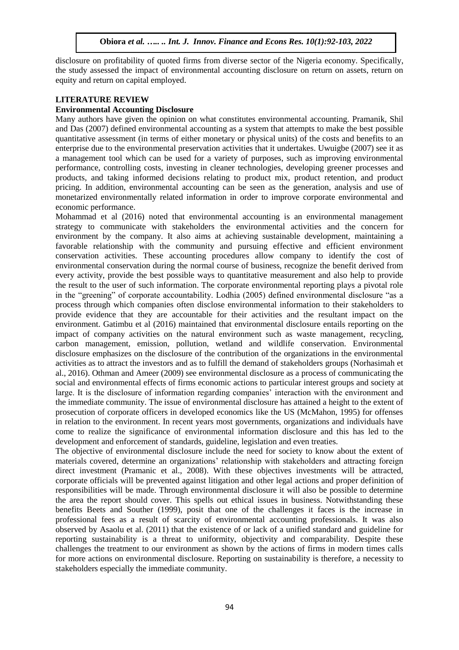disclosure on profitability of quoted firms from diverse sector of the Nigeria economy. Specifically, the study assessed the impact of environmental accounting disclosure on return on assets, return on equity and return on capital employed.

# **LITERATURE REVIEW**

# **Environmental Accounting Disclosure**

Many authors have given the opinion on what constitutes environmental accounting. Pramanik, Shil and Das (2007) defined environmental accounting as a system that attempts to make the best possible quantitative assessment (in terms of either monetary or physical units) of the costs and benefits to an enterprise due to the environmental preservation activities that it undertakes. Uwuigbe (2007) see it as a management tool which can be used for a variety of purposes, such as improving environmental performance, controlling costs, investing in cleaner technologies, developing greener processes and products, and taking informed decisions relating to product mix, product retention, and product pricing. In addition, environmental accounting can be seen as the generation, analysis and use of monetarized environmentally related information in order to improve corporate environmental and economic performance.

Mohammad et al (2016) noted that environmental accounting is an environmental management strategy to communicate with stakeholders the environmental activities and the concern for environment by the company. It also aims at achieving sustainable development, maintaining a favorable relationship with the community and pursuing effective and efficient environment conservation activities. These accounting procedures allow company to identify the cost of environmental conservation during the normal course of business, recognize the benefit derived from every activity, provide the best possible ways to quantitative measurement and also help to provide the result to the user of such information. The corporate environmental reporting plays a pivotal role in the "greening" of corporate accountability. Lodhia (2005) defined environmental disclosure "as a process through which companies often disclose environmental information to their stakeholders to provide evidence that they are accountable for their activities and the resultant impact on the environment. Gatimbu et al (2016) maintained that environmental disclosure entails reporting on the impact of company activities on the natural environment such as waste management, recycling, carbon management, emission, pollution, wetland and wildlife conservation. Environmental disclosure emphasizes on the disclosure of the contribution of the organizations in the environmental activities as to attract the investors and as to fulfill the demand of stakeholders groups (Norhasimah et al., 2016). Othman and Ameer (2009) see environmental disclosure as a process of communicating the social and environmental effects of firms economic actions to particular interest groups and society at large. It is the disclosure of information regarding companies' interaction with the environment and the immediate community. The issue of environmental disclosure has attained a height to the extent of prosecution of corporate officers in developed economics like the US (McMahon, 1995) for offenses in relation to the environment. In recent years most governments, organizations and individuals have come to realize the significance of environmental information disclosure and this has led to the development and enforcement of standards, guideline, legislation and even treaties.

The objective of environmental disclosure include the need for society to know about the extent of materials covered, determine an organizations' relationship with stakeholders and attracting foreign direct investment (Pramanic et al., 2008). With these objectives investments will be attracted, corporate officials will be prevented against litigation and other legal actions and proper definition of responsibilities will be made. Through environmental disclosure it will also be possible to determine the area the report should cover. This spells out ethical issues in business. Notwithstanding these benefits Beets and Souther (1999), posit that one of the challenges it faces is the increase in professional fees as a result of scarcity of environmental accounting professionals. It was also observed by Asaolu et al. (2011) that the existence of or lack of a unified standard and guideline for reporting sustainability is a threat to uniformity, objectivity and comparability. Despite these challenges the treatment to our environment as shown by the actions of firms in modern times calls for more actions on environmental disclosure. Reporting on sustainability is therefore, a necessity to stakeholders especially the immediate community.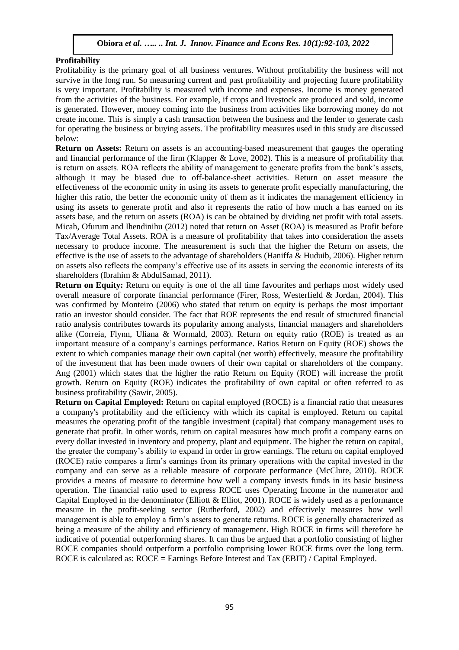# **Profitability**

Profitability is the primary goal of all business ventures. Without profitability the business will not survive in the long run. So measuring current and past profitability and projecting future profitability is very important. Profitability is measured with income and expenses. Income is money generated from the activities of the business. For example, if crops and livestock are produced and sold, income is generated. However, money coming into the business from activities like borrowing money do not create income. This is simply a cash transaction between the business and the lender to generate cash for operating the business or buying assets. The profitability measures used in this study are discussed below:

**Return on Assets:** Return on assets is an accounting-based measurement that gauges the operating and financial performance of the firm (Klapper & Love, 2002). This is a measure of profitability that is return on assets. ROA reflects the ability of management to generate profits from the bank's assets, although it may be biased due to off-balance-sheet activities. Return on asset measure the effectiveness of the economic unity in using its assets to generate profit especially manufacturing, the higher this ratio, the better the economic unity of them as it indicates the management efficiency in using its assets to generate profit and also it represents the ratio of how much a has earned on its assets base, and the return on assets (ROA) is can be obtained by dividing net profit with total assets. Micah, Ofurum and Ihendinihu (2012) noted that return on Asset (ROA) is measured as Profit before Tax/Average Total Assets. ROA is a measure of profitability that takes into consideration the assets necessary to produce income. The measurement is such that the higher the Return on assets, the effective is the use of assets to the advantage of shareholders (Haniffa & Huduib, 2006). Higher return on assets also reflects the company's effective use of its assets in serving the economic interests of its shareholders (Ibrahim & AbdulSamad, 2011).

**Return on Equity:** Return on equity is one of the all time favourites and perhaps most widely used overall measure of corporate financial performance (Firer, Ross, Westerfield & Jordan, 2004). This was confirmed by Monteiro (2006) who stated that return on equity is perhaps the most important ratio an investor should consider. The fact that ROE represents the end result of structured financial ratio analysis contributes towards its popularity among analysts, financial managers and shareholders alike (Correia, Flynn, Uliana & Wormald, 2003). Return on equity ratio (ROE) is treated as an important measure of a company's earnings performance. Ratios Return on Equity (ROE) shows the extent to which companies manage their own capital (net worth) effectively, measure the profitability of the investment that has been made owners of their own capital or shareholders of the company. Ang (2001) which states that the higher the ratio Return on Equity (ROE) will increase the profit growth. Return on Equity (ROE) indicates the profitability of own capital or often referred to as business profitability (Sawir, 2005).

**Return on Capital Employed:** Return on capital employed (ROCE) is a financial ratio that measures a company's profitability and the efficiency with which its capital is employed. Return on capital measures the operating profit of the tangible investment (capital) that company management uses to generate that profit. In other words, return on capital measures how much profit a company earns on every dollar invested in inventory and property, plant and equipment. The higher the return on capital, the greater the company's ability to expand in order in grow earnings. The return on capital employed (ROCE) ratio compares a firm's earnings from its primary operations with the capital invested in the company and can serve as a reliable measure of corporate performance (McClure, 2010). ROCE provides a means of measure to determine how well a company invests funds in its basic business operation. The financial ratio used to express ROCE uses Operating Income in the numerator and Capital Employed in the denominator (Elliott  $&$  Elliot, 2001). ROCE is widely used as a performance measure in the profit-seeking sector (Rutherford, 2002) and effectively measures how well management is able to employ a firm's assets to generate returns. ROCE is generally characterized as being a measure of the ability and efficiency of management. High ROCE in firms will therefore be indicative of potential outperforming shares. It can thus be argued that a portfolio consisting of higher ROCE companies should outperform a portfolio comprising lower ROCE firms over the long term. ROCE is calculated as: ROCE = Earnings Before Interest and Tax (EBIT) / Capital Employed.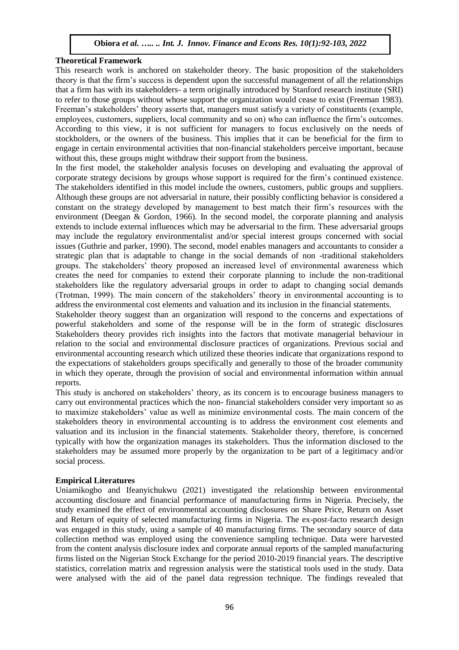#### **Theoretical Framework**

This research work is anchored on stakeholder theory. The basic proposition of the stakeholders theory is that the firm's success is dependent upon the successful management of all the relationships that a firm has with its stakeholders- a term originally introduced by Stanford research institute (SRI) to refer to those groups without whose support the organization would cease to exist (Freeman 1983). Freeman's stakeholders' theory asserts that, managers must satisfy a variety of constituents (example, employees, customers, suppliers, local community and so on) who can influence the firm's outcomes. According to this view, it is not sufficient for managers to focus exclusively on the needs of stockholders, or the owners of the business. This implies that it can be beneficial for the firm to engage in certain environmental activities that non-financial stakeholders perceive important, because without this, these groups might withdraw their support from the business.

In the first model, the stakeholder analysis focuses on developing and evaluating the approval of corporate strategy decisions by groups whose support is required for the firm's continued existence. The stakeholders identified in this model include the owners, customers, public groups and suppliers. Although these groups are not adversarial in nature, their possibly conflicting behavior is considered a constant on the strategy developed by management to best match their firm's resources with the environment (Deegan & Gordon, 1966). In the second model, the corporate planning and analysis extends to include external influences which may be adversarial to the firm. These adversarial groups may include the regulatory environmentalist and/or special interest groups concerned with social issues (Guthrie and parker, 1990). The second, model enables managers and accountants to consider a strategic plan that is adaptable to change in the social demands of non -traditional stakeholders groups. The stakeholders' theory proposed an increased level of environmental awareness which creates the need for companies to extend their corporate planning to include the non-traditional stakeholders like the regulatory adversarial groups in order to adapt to changing social demands (Trotman, 1999). The main concern of the stakeholders' theory in environmental accounting is to address the environmental cost elements and valuation and its inclusion in the financial statements.

Stakeholder theory suggest than an organization will respond to the concerns and expectations of powerful stakeholders and some of the response will be in the form of strategic disclosures Stakeholders theory provides rich insights into the factors that motivate managerial behaviour in relation to the social and environmental disclosure practices of organizations. Previous social and environmental accounting research which utilized these theories indicate that organizations respond to the expectations of stakeholders groups specifically and generally to those of the broader community in which they operate, through the provision of social and environmental information within annual reports.

This study is anchored on stakeholders' theory, as its concern is to encourage business managers to carry out environmental practices which the non- financial stakeholders consider very important so as to maximize stakeholders' value as well as minimize environmental costs. The main concern of the stakeholders theory in environmental accounting is to address the environment cost elements and valuation and its inclusion in the financial statements. Stakeholder theory, therefore, is concerned typically with how the organization manages its stakeholders. Thus the information disclosed to the stakeholders may be assumed more properly by the organization to be part of a legitimacy and/or social process.

# **Empirical Literatures**

Uniamikogbo and Ifeanyichukwu (2021) investigated the relationship between environmental accounting disclosure and financial performance of manufacturing firms in Nigeria. Precisely, the study examined the effect of environmental accounting disclosures on Share Price, Return on Asset and Return of equity of selected manufacturing firms in Nigeria. The ex-post-facto research design was engaged in this study, using a sample of 40 manufacturing firms. The secondary source of data collection method was employed using the convenience sampling technique. Data were harvested from the content analysis disclosure index and corporate annual reports of the sampled manufacturing firms listed on the Nigerian Stock Exchange for the period 2010-2019 financial years. The descriptive statistics, correlation matrix and regression analysis were the statistical tools used in the study. Data were analysed with the aid of the panel data regression technique. The findings revealed that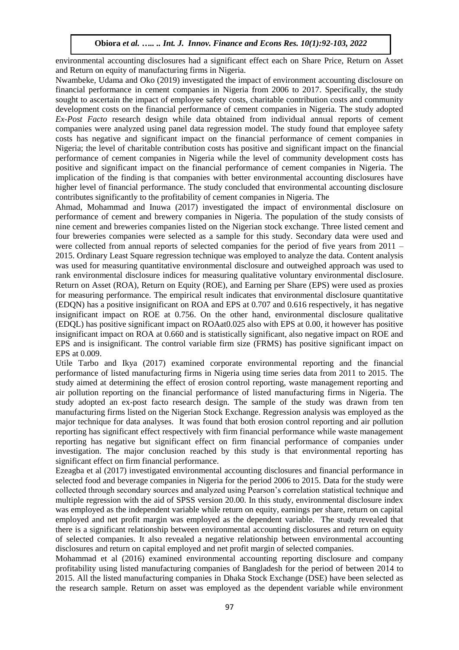environmental accounting disclosures had a significant effect each on Share Price, Return on Asset and Return on equity of manufacturing firms in Nigeria.

Nwambeke, Udama and Oko (2019) investigated the impact of environment accounting disclosure on financial performance in cement companies in Nigeria from 2006 to 2017. Specifically, the study sought to ascertain the impact of employee safety costs, charitable contribution costs and community development costs on the financial performance of cement companies in Nigeria. The study adopted *Ex-Post Facto* research design while data obtained from individual annual reports of cement companies were analyzed using panel data regression model. The study found that employee safety costs has negative and significant impact on the financial performance of cement companies in Nigeria; the level of charitable contribution costs has positive and significant impact on the financial performance of cement companies in Nigeria while the level of community development costs has positive and significant impact on the financial performance of cement companies in Nigeria. The implication of the finding is that companies with better environmental accounting disclosures have higher level of financial performance. The study concluded that environmental accounting disclosure contributes significantly to the profitability of cement companies in Nigeria. The

Ahmad, Mohammad and Inuwa (2017) investigated the impact of environmental disclosure on performance of cement and brewery companies in Nigeria. The population of the study consists of nine cement and breweries companies listed on the Nigerian stock exchange. Three listed cement and four breweries companies were selected as a sample for this study. Secondary data were used and were collected from annual reports of selected companies for the period of five years from 2011 – 2015. Ordinary Least Square regression technique was employed to analyze the data. Content analysis was used for measuring quantitative environmental disclosure and outweighed approach was used to rank environmental disclosure indices for measuring qualitative voluntary environmental disclosure. Return on Asset (ROA), Return on Equity (ROE), and Earning per Share (EPS) were used as proxies for measuring performance. The empirical result indicates that environmental disclosure quantitative (EDQN) has a positive insignificant on ROA and EPS at 0.707 and 0.616 respectively, it has negative insignificant impact on ROE at 0.756. On the other hand, environmental disclosure qualitative (EDQL) has positive significant impact on ROAat0.025 also with EPS at 0.00, it however has positive insignificant impact on ROA at 0.660 and is statistically significant, also negative impact on ROE and EPS and is insignificant. The control variable firm size (FRMS) has positive significant impact on EPS at 0.009.

Utile Tarbo and Ikya (2017) examined corporate environmental reporting and the financial performance of listed manufacturing firms in Nigeria using time series data from 2011 to 2015. The study aimed at determining the effect of erosion control reporting, waste management reporting and air pollution reporting on the financial performance of listed manufacturing firms in Nigeria. The study adopted an ex-post facto research design. The sample of the study was drawn from ten manufacturing firms listed on the Nigerian Stock Exchange. Regression analysis was employed as the major technique for data analyses. It was found that both erosion control reporting and air pollution reporting has significant effect respectively with firm financial performance while waste management reporting has negative but significant effect on firm financial performance of companies under investigation. The major conclusion reached by this study is that environmental reporting has significant effect on firm financial performance.

Ezeagba et al (2017) investigated environmental accounting disclosures and financial performance in selected food and beverage companies in Nigeria for the period 2006 to 2015. Data for the study were collected through secondary sources and analyzed using Pearson's correlation statistical technique and multiple regression with the aid of SPSS version 20.00. In this study, environmental disclosure index was employed as the independent variable while return on equity, earnings per share, return on capital employed and net profit margin was employed as the dependent variable. The study revealed that there is a significant relationship between environmental accounting disclosures and return on equity of selected companies. It also revealed a negative relationship between environmental accounting disclosures and return on capital employed and net profit margin of selected companies.

Mohammad et al (2016) examined environmental accounting reporting disclosure and company profitability using listed manufacturing companies of Bangladesh for the period of between 2014 to 2015. All the listed manufacturing companies in Dhaka Stock Exchange (DSE) have been selected as the research sample. Return on asset was employed as the dependent variable while environment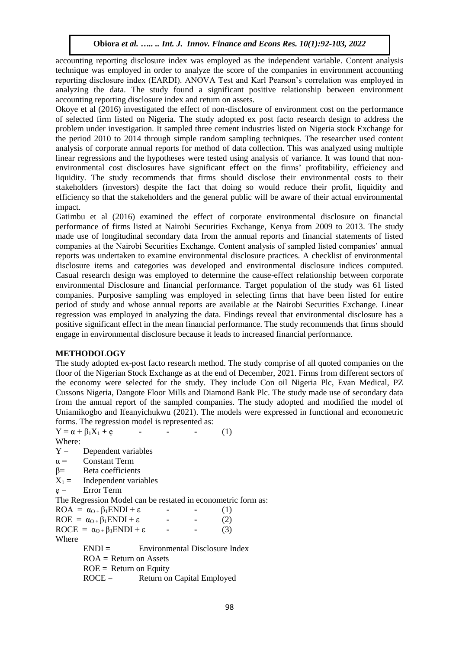accounting reporting disclosure index was employed as the independent variable. Content analysis technique was employed in order to analyze the score of the companies in environment accounting reporting disclosure index (EARDI). ANOVA Test and Karl Pearson's correlation was employed in analyzing the data. The study found a significant positive relationship between environment accounting reporting disclosure index and return on assets.

Okoye et al (2016) investigated the effect of non-disclosure of environment cost on the performance of selected firm listed on Nigeria. The study adopted ex post facto research design to address the problem under investigation. It sampled three cement industries listed on Nigeria stock Exchange for the period 2010 to 2014 through simple random sampling techniques. The researcher used content analysis of corporate annual reports for method of data collection. This was analyzed using multiple linear regressions and the hypotheses were tested using analysis of variance. It was found that nonenvironmental cost disclosures have significant effect on the firms' profitability, efficiency and liquidity. The study recommends that firms should disclose their environmental costs to their stakeholders (investors) despite the fact that doing so would reduce their profit, liquidity and efficiency so that the stakeholders and the general public will be aware of their actual environmental impact.

Gatimbu et al (2016) examined the effect of corporate environmental disclosure on financial performance of firms listed at Nairobi Securities Exchange, Kenya from 2009 to 2013. The study made use of longitudinal secondary data from the annual reports and financial statements of listed companies at the Nairobi Securities Exchange. Content analysis of sampled listed companies' annual reports was undertaken to examine environmental disclosure practices. A checklist of environmental disclosure items and categories was developed and environmental disclosure indices computed. Casual research design was employed to determine the cause-effect relationship between corporate environmental Disclosure and financial performance. Target population of the study was 61 listed companies. Purposive sampling was employed in selecting firms that have been listed for entire period of study and whose annual reports are available at the Nairobi Securities Exchange. Linear regression was employed in analyzing the data. Findings reveal that environmental disclosure has a positive significant effect in the mean financial performance. The study recommends that firms should engage in environmental disclosure because it leads to increased financial performance.

#### **METHODOLOGY**

The study adopted ex-post facto research method. The study comprise of all quoted companies on the floor of the Nigerian Stock Exchange as at the end of December, 2021. Firms from different sectors of the economy were selected for the study. They include Con oil Nigeria Plc, Evan Medical, PZ Cussons Nigeria, Dangote Floor Mills and Diamond Bank Plc. The study made use of secondary data from the annual report of the sampled companies. The study adopted and modified the model of Uniamikogbo and Ifeanyichukwu (2021). The models were expressed in functional and econometric forms. The regression model is represented as:

 $Y = \alpha + \beta_1 X_1 + e$  **-** (1) Where:  $Y =$  Dependent variables  $\alpha$  = Constant Term β= Beta coefficients  $X_1 =$  Independent variables  $e =$  Error Term The Regression Model can be restated in econometric form as:  $ROA = \alpha_{O+} \beta_1 ENDI + \varepsilon$  **-** (1)  $ROE = \alpha_{0+} \beta_1 ENDI + \varepsilon$  **-** (2) ROCE =  $\alpha_0 + \beta_1$ ENDI + ε **-** (3) Where  $ENDI =$  Environmental Disclosure Index  $ROA = Return on Assets$  $ROE = Return on Equity$ ROCE = Return on Capital Employed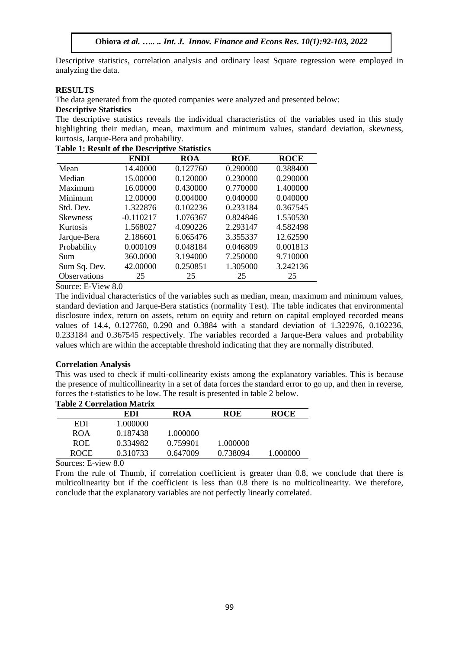Descriptive statistics, correlation analysis and ordinary least Square regression were employed in analyzing the data.

#### **RESULTS**

The data generated from the quoted companies were analyzed and presented below:

#### **Descriptive Statistics**

The descriptive statistics reveals the individual characteristics of the variables used in this study highlighting their median, mean, maximum and minimum values, standard deviation, skewness, kurtosis, Jarque-Bera and probability.

|                 | <b>ENDI</b> | <b>ROA</b> | <b>ROE</b> | <b>ROCE</b> |
|-----------------|-------------|------------|------------|-------------|
| Mean            | 14.40000    | 0.127760   | 0.290000   | 0.388400    |
| Median          | 15.00000    | 0.120000   | 0.230000   | 0.290000    |
| Maximum         | 16.00000    | 0.430000   | 0.770000   | 1.400000    |
| Minimum         | 12.00000    | 0.004000   | 0.040000   | 0.040000    |
| Std. Dev.       | 1.322876    | 0.102236   | 0.233184   | 0.367545    |
| <b>Skewness</b> | $-0.110217$ | 1.076367   | 0.824846   | 1.550530    |
| Kurtosis        | 1.568027    | 4.090226   | 2.293147   | 4.582498    |
| Jarque-Bera     | 2.186601    | 6.065476   | 3.355337   | 12.62590    |
| Probability     | 0.000109    | 0.048184   | 0.046809   | 0.001813    |
| Sum             | 360.0000    | 3.194000   | 7.250000   | 9.710000    |
| Sum Sq. Dev.    | 42.00000    | 0.250851   | 1.305000   | 3.242136    |
| Observations    | 25          | 25         | 25         | 25          |

#### **Table 1: Result of the Descriptive Statistics**

Source: E-View 8.0

The individual characteristics of the variables such as median, mean, maximum and minimum values, standard deviation and Jarque-Bera statistics (normality Test). The table indicates that environmental disclosure index, return on assets, return on equity and return on capital employed recorded means values of 14.4, 0.127760, 0.290 and 0.3884 with a standard deviation of 1.322976, 0.102236, 0.233184 and 0.367545 respectively. The variables recorded a Jarque-Bera values and probability values which are within the acceptable threshold indicating that they are normally distributed.

# **Correlation Analysis**

This was used to check if multi-collinearity exists among the explanatory variables. This is because the presence of multicollinearity in a set of data forces the standard error to go up, and then in reverse, forces the t-statistics to be low. The result is presented in table 2 below.

|             | Table 2 Correlation Matrix |          |          |             |
|-------------|----------------------------|----------|----------|-------------|
|             | EDI                        | ROA      | ROE      | <b>ROCE</b> |
| EDI         | 1.000000                   |          |          |             |
| <b>ROA</b>  | 0.187438                   | 1.000000 |          |             |
| <b>ROE</b>  | 0.334982                   | 0.759901 | 1.000000 |             |
| <b>ROCE</b> | 0.310733                   | 0.647009 | 0.738094 | 1.000000    |

# **Table 2 Correlation Matrix**

Sources: E-view 8.0

From the rule of Thumb, if correlation coefficient is greater than 0.8, we conclude that there is multicolinearity but if the coefficient is less than 0.8 there is no multicolinearity. We therefore, conclude that the explanatory variables are not perfectly linearly correlated.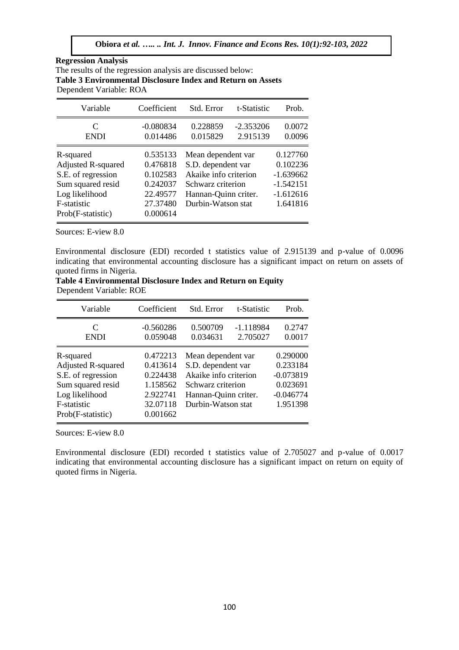| <b>Regression Analysis</b>                                         |
|--------------------------------------------------------------------|
| The results of the regression analysis are discussed below:        |
| <b>Table 3 Environmental Disclosure Index and Return on Assets</b> |
| Dependent Variable: ROA                                            |

| Variable                                                                                                                                | Coefficient                                                                      | Std. Error                                                                                                                           | t-Statistic             | Prob.                                                                         |
|-----------------------------------------------------------------------------------------------------------------------------------------|----------------------------------------------------------------------------------|--------------------------------------------------------------------------------------------------------------------------------------|-------------------------|-------------------------------------------------------------------------------|
| C<br><b>ENDI</b>                                                                                                                        | $-0.080834$<br>0.014486                                                          | 0.228859<br>0.015829                                                                                                                 | $-2.353206$<br>2.915139 | 0.0072<br>0.0096                                                              |
| R-squared<br><b>Adjusted R-squared</b><br>S.E. of regression<br>Sum squared resid<br>Log likelihood<br>F-statistic<br>Prob(F-statistic) | 0.535133<br>0.476818<br>0.102583<br>0.242037<br>22.49577<br>27.37480<br>0.000614 | Mean dependent var<br>S.D. dependent var<br>Akaike info criterion<br>Schwarz criterion<br>Hannan-Quinn criter.<br>Durbin-Watson stat |                         | 0.127760<br>0.102236<br>$-1.639662$<br>$-1.542151$<br>$-1.612616$<br>1.641816 |

Sources: E-view 8.0

Environmental disclosure (EDI) recorded t statistics value of 2.915139 and p-value of 0.0096 indicating that environmental accounting disclosure has a significant impact on return on assets of quoted firms in Nigeria.

| Table 4 Environmental Disclosure Index and Return on Equity |  |
|-------------------------------------------------------------|--|
| Dependent Variable: ROE                                     |  |

| Variable                                                                                                                                | Coefficient                                                                      | Std. Error                                                                                                                           | t-Statistic             | Prob.                                                                      |
|-----------------------------------------------------------------------------------------------------------------------------------------|----------------------------------------------------------------------------------|--------------------------------------------------------------------------------------------------------------------------------------|-------------------------|----------------------------------------------------------------------------|
| C<br><b>ENDI</b>                                                                                                                        | $-0.560286$<br>0.059048                                                          | 0.500709<br>0.034631                                                                                                                 | $-1.118984$<br>2.705027 | 0.2747<br>0.0017                                                           |
| R-squared<br><b>Adjusted R-squared</b><br>S.E. of regression<br>Sum squared resid<br>Log likelihood<br>F-statistic<br>Prob(F-statistic) | 0.472213<br>0.413614<br>0.224438<br>1.158562<br>2.922741<br>32.07118<br>0.001662 | Mean dependent var<br>S.D. dependent var<br>Akaike info criterion<br>Schwarz criterion<br>Hannan-Quinn criter.<br>Durbin-Watson stat |                         | 0.290000<br>0.233184<br>$-0.073819$<br>0.023691<br>$-0.046774$<br>1.951398 |

Sources: E-view 8.0

Environmental disclosure (EDI) recorded t statistics value of 2.705027 and p-value of 0.0017 indicating that environmental accounting disclosure has a significant impact on return on equity of quoted firms in Nigeria.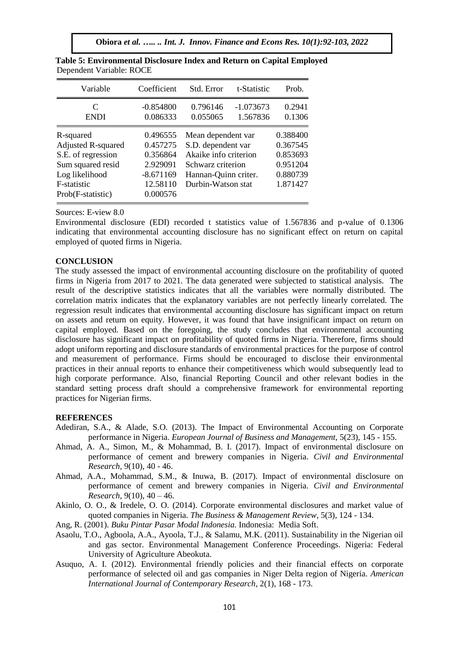| Variable                                                                                                                                | Coefficient                                                                         | Std. Error                                                                                                                           | t-Statistic             | Prob.                                                                |
|-----------------------------------------------------------------------------------------------------------------------------------------|-------------------------------------------------------------------------------------|--------------------------------------------------------------------------------------------------------------------------------------|-------------------------|----------------------------------------------------------------------|
| C<br><b>ENDI</b>                                                                                                                        | $-0.854800$<br>0.086333                                                             | 0.796146<br>0.055065                                                                                                                 | $-1.073673$<br>1.567836 | 0.2941<br>0.1306                                                     |
| R-squared<br><b>Adjusted R-squared</b><br>S.E. of regression<br>Sum squared resid<br>Log likelihood<br>F-statistic<br>Prob(F-statistic) | 0.496555<br>0.457275<br>0.356864<br>2.929091<br>$-8.671169$<br>12.58110<br>0.000576 | Mean dependent var<br>S.D. dependent var<br>Akaike info criterion<br>Schwarz criterion<br>Hannan-Quinn criter.<br>Durbin-Watson stat |                         | 0.388400<br>0.367545<br>0.853693<br>0.951204<br>0.880739<br>1.871427 |

| Table 5: Environmental Disclosure Index and Return on Capital Employed |  |
|------------------------------------------------------------------------|--|
| Dependent Variable: ROCE                                               |  |

Sources: E-view 8.0

Environmental disclosure (EDI) recorded t statistics value of 1.567836 and p-value of 0.1306 indicating that environmental accounting disclosure has no significant effect on return on capital employed of quoted firms in Nigeria.

#### **CONCLUSION**

The study assessed the impact of environmental accounting disclosure on the profitability of quoted firms in Nigeria from 2017 to 2021. The data generated were subjected to statistical analysis. The result of the descriptive statistics indicates that all the variables were normally distributed. The correlation matrix indicates that the explanatory variables are not perfectly linearly correlated. The regression result indicates that environmental accounting disclosure has significant impact on return on assets and return on equity. However, it was found that have insignificant impact on return on capital employed. Based on the foregoing, the study concludes that environmental accounting disclosure has significant impact on profitability of quoted firms in Nigeria. Therefore, firms should adopt uniform reporting and disclosure standards of environmental practices for the purpose of control and measurement of performance. Firms should be encouraged to disclose their environmental practices in their annual reports to enhance their competitiveness which would subsequently lead to high corporate performance. Also, financial Reporting Council and other relevant bodies in the standard setting process draft should a comprehensive framework for environmental reporting practices for Nigerian firms.

#### **REFERENCES**

- Adediran, S.A., & Alade, S.O. (2013). The Impact of Environmental Accounting on Corporate performance in Nigeria. *European Journal of Business and Management,* 5(23), 145 - 155.
- Ahmad, A. A., Simon, M., & Mohammad, B. I. (2017). Impact of environmental disclosure on performance of cement and brewery companies in Nigeria. *Civil and Environmental Research*, 9(10), 40 - 46.
- Ahmad, A.A., Mohammad, S.M., & Inuwa, B. (2017). Impact of environmental disclosure on performance of cement and brewery companies in Nigeria. *Civil and Environmental Research*, 9(10), 40 – 46.
- Akinlo, O. O., & Iredele, O. O. (2014). Corporate environmental disclosures and market value of quoted companies in Nigeria. *The Business & Management Review,* 5(3), 124 - 134.
- Ang, R. (2001). *Buku Pintar Pasar Modal Indonesia.* Indonesia: Media Soft.
- Asaolu, T.O., Agboola, A.A., Ayoola, T.J., & Salamu, M.K. (2011). Sustainability in the Nigerian oil and gas sector. Environmental Management Conference Proceedings. Nigeria: Federal University of Agriculture Abeokuta.
- Asuquo, A. I. (2012). Environmental friendly policies and their financial effects on corporate performance of selected oil and gas companies in Niger Delta region of Nigeria. *American International Journal of Contemporary Research*, 2(1), 168 - 173.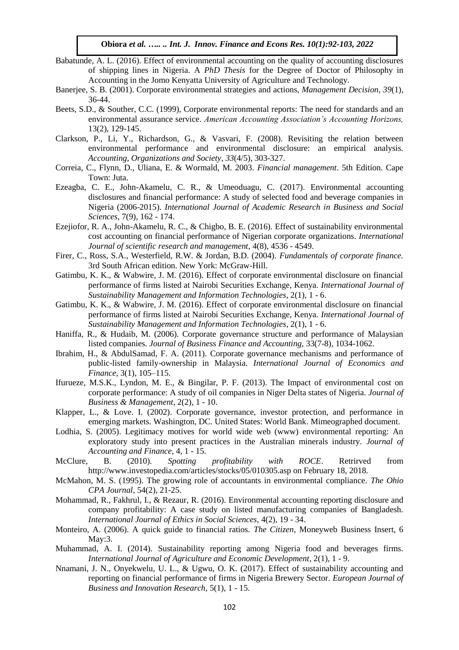- Babatunde, A. L. (2016). Effect of environmental accounting on the quality of accounting disclosures of shipping lines in Nigeria. A *PhD Thesis* for the Degree of Doctor of Philosophy in Accounting in the Jomo Kenyatta University of Agriculture and Technology.
- Banerjee, S. B. (2001). Corporate environmental strategies and actions, *Management Decision, 39*(1), 36-44.
- Beets, S.D., & Souther, C.C. (1999), Corporate environmental reports: The need for standards and an environmental assurance service. *American Accounting Association's Accounting Horizons,*  13(2), 129-145.
- Clarkson, P., Li, Y., Richardson, G., & Vasvari, F. (2008). Revisiting the relation between environmental performance and environmental disclosure: an empirical analysis. *Accounting, Organizations and Society*, *33*(4/5), 303-327.
- Correia, C., Flynn, D., Uliana, E. & Wormald, M. 2003. *Financial management*. 5th Edition. Cape Town: Juta.
- Ezeagba, C. E., John-Akamelu, C. R., & Umeoduagu, C. (2017). Environmental accounting disclosures and financial performance: A study of selected food and beverage companies in Nigeria (2006-2015). *International Journal of Academic Research in Business and Social Sciences*, 7(9), 162 - 174.
- Ezejiofor, R. A., John-Akamelu, R. C., & Chigbo, B. E. (2016). Effect of sustainability environmental cost accounting on financial performance of Nigerian corporate organizations. *International Journal of scientific research and management*, 4(8), 4536 - 4549.
- Firer, C., Ross, S.A., Westerfield, R.W. & Jordan, B.D. (2004). *Fundamentals of corporate finance.*  3rd South African edition. New York: McGraw-Hill.
- Gatimbu, K. K., & Wabwire, J. M. (2016). Effect of corporate environmental disclosure on financial performance of firms listed at Nairobi Securities Exchange, Kenya. *International Journal of Sustainability Management and Information Technologies*, 2(1), 1 - 6.
- Gatimbu, K. K., & Wabwire, J. M. (2016). Effect of corporate environmental disclosure on financial performance of firms listed at Nairobi Securities Exchange, Kenya. *International Journal of Sustainability Management and Information Technologies*, 2(1), 1 - 6.
- Haniffa, R., & Hudaib, M. (2006). Corporate governance structure and performance of Malaysian listed companies. *Journal of Business Finance and Accounting,* 33(7-8), 1034-1062.
- Ibrahim, H., & AbdulSamad, F. A. (2011). Corporate governance mechanisms and performance of public-listed family-ownership in Malaysia. *International Journal of Economics and Finance*, 3(1), 105–115.
- Ifurueze, M.S.K., Lyndon, M. E., & Bingilar, P. F. (2013). The Impact of environmental cost on corporate performance: A study of oil companies in Niger Delta states of Nigeria. *Journal of Business & Management*, 2(2), 1 - 10.
- Klapper, L., & Love. I. (2002). Corporate governance, investor protection, and performance in emerging markets. Washington, DC. United States: World Bank. Mimeographed document.
- Lodhia, S. (2005). Legitimacy motives for world wide web (www) environmental reporting: An exploratory study into present practices in the Australian minerals industry. *Journal of Accounting and Finance*, 4, 1 - 15.
- McClure, B. (2010). *Spotting profitability with ROCE*. Retrirved from http://www.investopedia.com/articles/stocks/05/010305.asp on February 18, 2018.
- McMahon, M. S. (1995). The growing role of accountants in environmental compliance. *The Ohio CPA Journal*, 54(2), 21-25.
- Mohammad, R., Fakhrul, I., & Rezaur, R. (2016). Environmental accounting reporting disclosure and company profitability: A case study on listed manufacturing companies of Bangladesh. *International Journal of Ethics in Social Sciences,* 4(2), 19 - 34.
- Monteiro, A. (2006). A quick guide to financial ratios. *The Citizen*, Moneyweb Business Insert, 6 May:3.
- Muhammad, A. I. (2014). Sustainability reporting among Nigeria food and beverages firms. *International Journal of Agriculture and Economic Development*, 2(1), 1 - 9.
- Nnamani, J. N., Onyekwelu, U. L., & Ugwu, O. K. (2017). Effect of sustainability accounting and reporting on financial performance of firms in Nigeria Brewery Sector. *European Journal of Business and Innovation Research*, 5(1), 1 - 15.